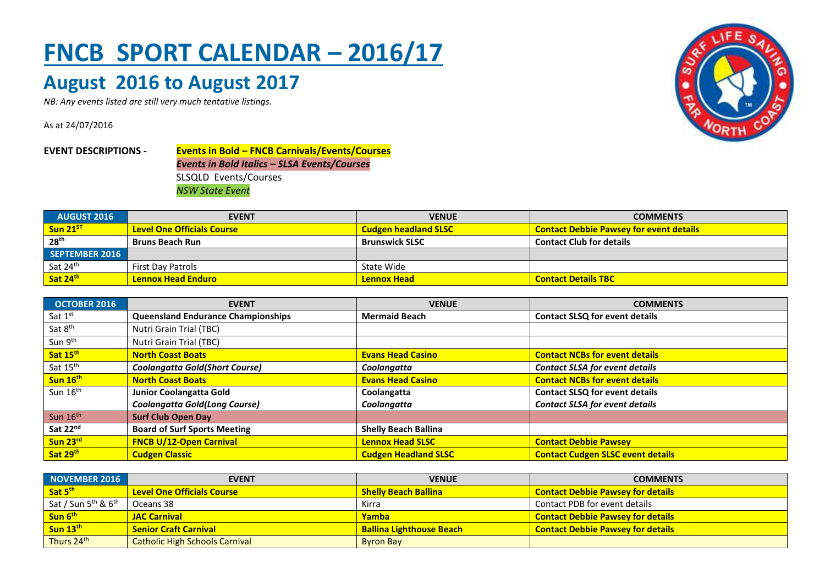## **FNCB SPORT CALENDAR – 2016/17**

## **August 2016 to August 2017**

*NB: Any events listed are still very much tentative listings.*

As at 24/07/2016





| <b>OCTOBER 2016</b>  | <b>EVENT</b>                              | <b>VENUE</b>                | <b>COMMENTS</b>                          |
|----------------------|-------------------------------------------|-----------------------------|------------------------------------------|
| Sat $1st$            | <b>Queensland Endurance Championships</b> | <b>Mermaid Beach</b>        | <b>Contact SLSQ for event details</b>    |
| Sat 8 <sup>th</sup>  | Nutri Grain Trial (TBC)                   |                             |                                          |
| Sun 9th              | Nutri Grain Trial (TBC)                   |                             |                                          |
| Sat 15th             | <b>North Coast Boats</b>                  | <b>Evans Head Casino</b>    | <b>Contact NCBs for event details</b>    |
| Sat 15 <sup>th</sup> | <b>Coolangatta Gold(Short Course)</b>     | Coolangatta                 | <b>Contact SLSA for event details</b>    |
| Sun 16th             | <b>North Coast Boats</b>                  | <b>Evans Head Casino</b>    | <b>Contact NCBs for event details</b>    |
| Sun $16th$           | Junior Coolangatta Gold                   | Coolangatta                 | <b>Contact SLSQ for event details</b>    |
|                      | <b>Coolangatta Gold(Long Course)</b>      | Coolangatta                 | <b>Contact SLSA for event details</b>    |
| Sun $16th$           | <b>Surf Club Open Day</b>                 |                             |                                          |
| Sat 22 <sup>nd</sup> | <b>Board of Surf Sports Meeting</b>       | <b>Shelly Beach Ballina</b> |                                          |
| Sun 23rd             | <b>FNCB U/12-Open Carnival</b>            | <b>Lennox Head SLSC</b>     | <b>Contact Debbie Pawsey</b>             |
| Sat 29th             | <b>Cudgen Classic</b>                     | <b>Cudgen Headland SLSC</b> | <b>Contact Cudgen SLSC event details</b> |

| NOVEMBER 2016                   | <b>EVENT</b>                          | <b>VENUE</b>                    | <b>COMMENTS</b>                          |
|---------------------------------|---------------------------------------|---------------------------------|------------------------------------------|
| Sat 5 <sup>th</sup>             | <b>Level One Officials Course</b>     | <b>Shelly Beach Ballina</b>     | <b>Contact Debbie Pawsey for details</b> |
| Sat / Sun $5th$ & $6th$         | Oceans 38                             | Kirra                           | Contact PDB for event details            |
| <mark>Sun 6<sup>th</sup></mark> | <b>JAC Carnival</b>                   | Yamba                           | <b>Contact Debbie Pawsey for details</b> |
| Sun 13th                        | <b>Senior Craft Carnival</b>          | <b>Ballina Lighthouse Beach</b> | <b>Contact Debbie Pawsey for details</b> |
| Thurs 24th                      | <b>Catholic High Schools Carnival</b> | <b>Byron Bay</b>                |                                          |

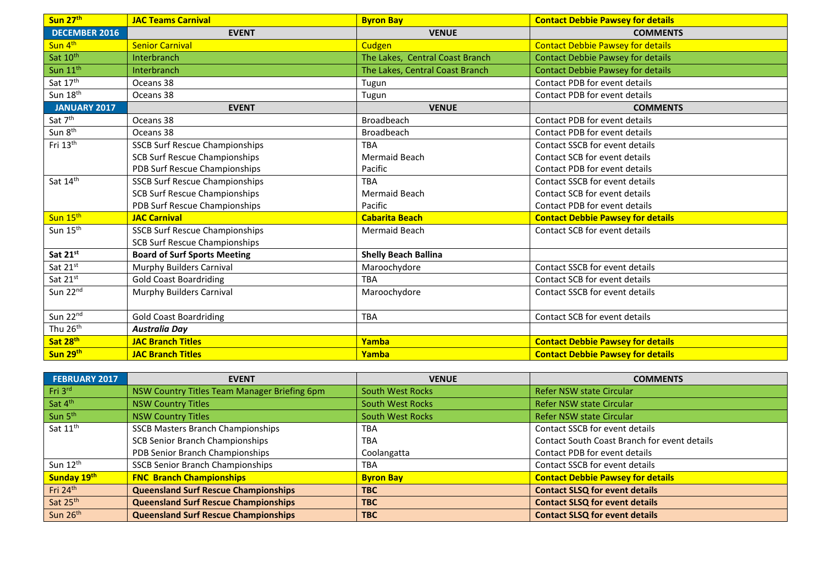| Sun 27th             | <b>JAC Teams Carnival</b>             | <b>Byron Bay</b>                | <b>Contact Debbie Pawsey for details</b> |
|----------------------|---------------------------------------|---------------------------------|------------------------------------------|
| <b>DECEMBER 2016</b> | <b>EVENT</b>                          | <b>VENUE</b>                    | <b>COMMENTS</b>                          |
| Sun 4th              | <b>Senior Carnival</b>                | Cudgen                          | <b>Contact Debbie Pawsey for details</b> |
| Sat 10th             | Interbranch                           | The Lakes, Central Coast Branch | <b>Contact Debbie Pawsey for details</b> |
| Sun 11 <sup>th</sup> | Interbranch                           | The Lakes, Central Coast Branch | <b>Contact Debbie Pawsey for details</b> |
| Sat 17th             | Oceans 38                             | Tugun                           | Contact PDB for event details            |
| Sun 18th             | Oceans 38                             | Tugun                           | Contact PDB for event details            |
| <b>JANUARY 2017</b>  | <b>EVENT</b>                          | <b>VENUE</b>                    | <b>COMMENTS</b>                          |
| Sat 7 <sup>th</sup>  | Oceans 38                             | Broadbeach                      | Contact PDB for event details            |
| Sun 8 <sup>th</sup>  | Oceans 38                             | <b>Broadbeach</b>               | Contact PDB for event details            |
| Fri 13th             | <b>SSCB Surf Rescue Championships</b> | <b>TBA</b>                      | Contact SSCB for event details           |
|                      | <b>SCB Surf Rescue Championships</b>  | <b>Mermaid Beach</b>            | Contact SCB for event details            |
|                      | PDB Surf Rescue Championships         | Pacific                         | Contact PDB for event details            |
| Sat 14th             | <b>SSCB Surf Rescue Championships</b> | <b>TRA</b>                      | Contact SSCB for event details           |
|                      | <b>SCB Surf Rescue Championships</b>  | <b>Mermaid Beach</b>            | Contact SCB for event details            |
|                      | PDB Surf Rescue Championships         | Pacific                         | Contact PDB for event details            |
| Sun 15 <sup>th</sup> | <b>JAC Carnival</b>                   | <b>Cabarita Beach</b>           | <b>Contact Debbie Pawsey for details</b> |
| Sun 15 <sup>th</sup> | <b>SSCB Surf Rescue Championships</b> | <b>Mermaid Beach</b>            | Contact SCB for event details            |
|                      | <b>SCB Surf Rescue Championships</b>  |                                 |                                          |
| Sat 21st             | <b>Board of Surf Sports Meeting</b>   | <b>Shelly Beach Ballina</b>     |                                          |
| Sat 21st             | Murphy Builders Carnival              | Maroochydore                    | Contact SSCB for event details           |
| Sat 21st             | <b>Gold Coast Boardriding</b>         | <b>TBA</b>                      | Contact SCB for event details            |
| Sun 22nd             | Murphy Builders Carnival              | Maroochydore                    | Contact SSCB for event details           |
|                      |                                       |                                 |                                          |
| Sun 22nd             | <b>Gold Coast Boardriding</b>         | <b>TBA</b>                      | Contact SCB for event details            |
| Thu 26 <sup>th</sup> | <b>Australia Day</b>                  |                                 |                                          |
| Sat 28th             | <b>JAC Branch Titles</b>              | Yamba                           | <b>Contact Debbie Pawsey for details</b> |
| Sun 29th             | <b>JAC Branch Titles</b>              | Yamba                           | <b>Contact Debbie Pawsey for details</b> |

| FEBRUARY 2017        | <b>EVENT</b>                                 | <b>VENUE</b>            | <b>COMMENTS</b>                                     |
|----------------------|----------------------------------------------|-------------------------|-----------------------------------------------------|
| Fri 3rd              | NSW Country Titles Team Manager Briefing 6pm | <b>South West Rocks</b> | Refer NSW state Circular                            |
| Sat 4th              | <b>NSW Country Titles</b>                    | <b>South West Rocks</b> | Refer NSW state Circular                            |
| Sun 5 <sup>th</sup>  | <b>NSW Country Titles</b>                    | <b>South West Rocks</b> | Refer NSW state Circular                            |
| Sat 11 <sup>th</sup> | <b>SSCB Masters Branch Championships</b>     | <b>TBA</b>              | Contact SSCB for event details                      |
|                      | SCB Senior Branch Championships              | <b>TBA</b>              | <b>Contact South Coast Branch for event details</b> |
|                      | PDB Senior Branch Championships              | Coolangatta             | Contact PDB for event details                       |
| Sun 12 <sup>th</sup> | <b>SSCB Senior Branch Championships</b>      | <b>TBA</b>              | Contact SSCB for event details                      |
| Sunday 19th          | <b>FNC Branch Championships</b>              | <b>Byron Bay</b>        | <b>Contact Debbie Pawsey for details</b>            |
| Fri 24 <sup>th</sup> | <b>Queensland Surf Rescue Championships</b>  | <b>TBC</b>              | <b>Contact SLSQ for event details</b>               |
| Sat 25th             | <b>Queensland Surf Rescue Championships</b>  | <b>TBC</b>              | <b>Contact SLSQ for event details</b>               |
| Sun 26th             | <b>Queensland Surf Rescue Championships</b>  | <b>TBC</b>              | <b>Contact SLSQ for event details</b>               |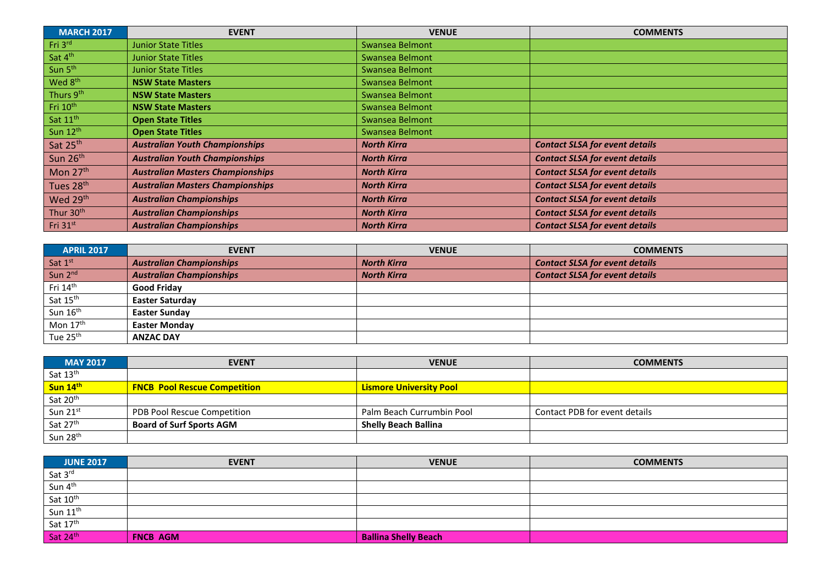| <b>MARCH 2017</b>     | <b>EVENT</b>                            | <b>VENUE</b>       | <b>COMMENTS</b>                       |
|-----------------------|-----------------------------------------|--------------------|---------------------------------------|
| Fri 3rd               | <b>Junior State Titles</b>              | Swansea Belmont    |                                       |
| Sat 4 <sup>th</sup>   | <b>Junior State Titles</b>              | Swansea Belmont    |                                       |
| Sun 5 <sup>th</sup>   | <b>Junior State Titles</b>              | Swansea Belmont    |                                       |
| Wed 8 <sup>th</sup>   | <b>NSW State Masters</b>                | Swansea Belmont    |                                       |
| Thurs 9th             | <b>NSW State Masters</b>                | Swansea Belmont    |                                       |
| Fri 10 <sup>th</sup>  | <b>NSW State Masters</b>                | Swansea Belmont    |                                       |
| Sat 11 <sup>th</sup>  | <b>Open State Titles</b>                | Swansea Belmont    |                                       |
| Sun 12th              | <b>Open State Titles</b>                | Swansea Belmont    |                                       |
| Sat 25 <sup>th</sup>  | <b>Australian Youth Championships</b>   | <b>North Kirra</b> | <b>Contact SLSA for event details</b> |
| Sun 26 <sup>th</sup>  | <b>Australian Youth Championships</b>   | <b>North Kirra</b> | <b>Contact SLSA for event details</b> |
| Mon $27th$            | <b>Australian Masters Championships</b> | <b>North Kirra</b> | <b>Contact SLSA for event details</b> |
| Tues 28th             | <b>Australian Masters Championships</b> | <b>North Kirra</b> | <b>Contact SLSA for event details</b> |
| Wed 29th              | <b>Australian Championships</b>         | <b>North Kirra</b> | <b>Contact SLSA for event details</b> |
| Thur 30 <sup>th</sup> | <b>Australian Championships</b>         | <b>North Kirra</b> | <b>Contact SLSA for event details</b> |
| Fri $31st$            | <b>Australian Championships</b>         | <b>North Kirra</b> | <b>Contact SLSA for event details</b> |

| <b>APRIL 2017</b>    | <b>EVENT</b>                    | <b>VENUE</b>       | <b>COMMENTS</b>                       |
|----------------------|---------------------------------|--------------------|---------------------------------------|
| Sat 1st              | <b>Australian Championships</b> | <b>North Kirra</b> | <b>Contact SLSA for event details</b> |
| Sun $2^{nd}$         | <b>Australian Championships</b> | <b>North Kirra</b> | <b>Contact SLSA for event details</b> |
| Fri 14 <sup>th</sup> | <b>Good Fridav</b>              |                    |                                       |
| Sat 15th             | <b>Easter Saturday</b>          |                    |                                       |
| Sun 16th             | <b>Easter Sunday</b>            |                    |                                       |
| Mon $17th$           | <b>Easter Mondav</b>            |                    |                                       |
| Tue 25 <sup>th</sup> | <b>ANZAC DAY</b>                |                    |                                       |

| <b>MAY 2017</b>      | <b>EVENT</b>                        | <b>VENUE</b>                   | <b>COMMENTS</b>               |
|----------------------|-------------------------------------|--------------------------------|-------------------------------|
| Sat 13 <sup>th</sup> |                                     |                                |                               |
| Sun 14th             | <b>FNCB Pool Rescue Competition</b> | <b>Lismore University Pool</b> |                               |
| Sat 20 <sup>th</sup> |                                     |                                |                               |
| Sun 21st             | PDB Pool Rescue Competition         | Palm Beach Currumbin Pool      | Contact PDB for event details |
| Sat 27th             | <b>Board of Surf Sports AGM</b>     | <b>Shelly Beach Ballina</b>    |                               |
| Sun 28 <sup>th</sup> |                                     |                                |                               |

| <b>JUNE 2017</b>                                                                                                                                 | <b>EVENT</b>    | <b>VENUE</b>                | <b>COMMENTS</b> |
|--------------------------------------------------------------------------------------------------------------------------------------------------|-----------------|-----------------------------|-----------------|
|                                                                                                                                                  |                 |                             |                 |
| $\frac{\mathsf{Sat}\,3^{\mathsf{rd}}}{\mathsf{Sun}\,4^{\mathsf{th}}}$<br>$\frac{\mathsf{Sat}\,10^{\mathsf{th}}}{\mathsf{Sat}\,10^{\mathsf{th}}}$ |                 |                             |                 |
|                                                                                                                                                  |                 |                             |                 |
| $\frac{3a+2b}{\text{Sun } 11^{\text{th}}}$<br>Sat 17 <sup>th</sup>                                                                               |                 |                             |                 |
|                                                                                                                                                  |                 |                             |                 |
| Sat 24 <sup>th</sup>                                                                                                                             | <b>FNCB AGM</b> | <b>Ballina Shelly Beach</b> |                 |